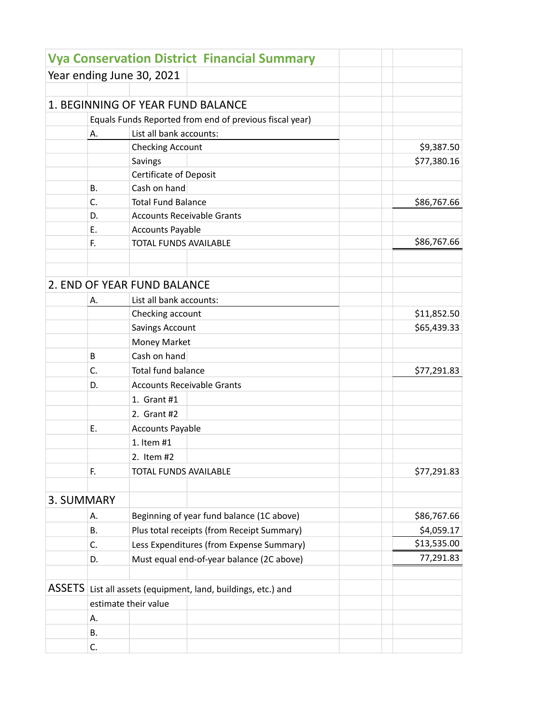|            |                                                                                       |                              | <b>Vya Conservation District Financial Summary</b>      |             |  |
|------------|---------------------------------------------------------------------------------------|------------------------------|---------------------------------------------------------|-------------|--|
|            |                                                                                       | Year ending June 30, 2021    |                                                         |             |  |
|            |                                                                                       |                              |                                                         |             |  |
|            |                                                                                       |                              | 1. BEGINNING OF YEAR FUND BALANCE                       |             |  |
|            |                                                                                       |                              | Equals Funds Reported from end of previous fiscal year) |             |  |
|            | Α.                                                                                    | List all bank accounts:      |                                                         |             |  |
|            |                                                                                       | <b>Checking Account</b>      |                                                         | \$9,387.50  |  |
|            |                                                                                       | Savings                      |                                                         | \$77,380.16 |  |
|            |                                                                                       | Certificate of Deposit       |                                                         |             |  |
|            | В.                                                                                    | Cash on hand                 |                                                         |             |  |
|            | C.                                                                                    | <b>Total Fund Balance</b>    |                                                         | \$86,767.66 |  |
|            | D.                                                                                    |                              | <b>Accounts Receivable Grants</b>                       |             |  |
|            | Е.                                                                                    | <b>Accounts Payable</b>      |                                                         |             |  |
|            | F.                                                                                    | <b>TOTAL FUNDS AVAILABLE</b> |                                                         | \$86,767.66 |  |
|            |                                                                                       |                              |                                                         |             |  |
|            |                                                                                       |                              |                                                         |             |  |
|            |                                                                                       | 2. END OF YEAR FUND BALANCE  |                                                         |             |  |
|            | Α.                                                                                    | List all bank accounts:      |                                                         |             |  |
|            |                                                                                       | Checking account             |                                                         | \$11,852.50 |  |
|            |                                                                                       | <b>Savings Account</b>       |                                                         | \$65,439.33 |  |
|            |                                                                                       | Money Market                 |                                                         |             |  |
|            | B                                                                                     | Cash on hand                 |                                                         |             |  |
|            | C.                                                                                    | Total fund balance           |                                                         | \$77,291.83 |  |
|            | D.                                                                                    |                              | <b>Accounts Receivable Grants</b>                       |             |  |
|            |                                                                                       | 1. Grant #1                  |                                                         |             |  |
|            |                                                                                       | 2. Grant #2                  |                                                         |             |  |
|            | Ε.                                                                                    | <b>Accounts Payable</b>      |                                                         |             |  |
|            |                                                                                       | 1. Item #1                   |                                                         |             |  |
|            |                                                                                       |                              |                                                         |             |  |
|            |                                                                                       | 2. Item #2                   |                                                         |             |  |
|            | F.                                                                                    | TOTAL FUNDS AVAILABLE        |                                                         | \$77,291.83 |  |
| 3. SUMMARY |                                                                                       |                              |                                                         |             |  |
|            |                                                                                       |                              |                                                         |             |  |
|            | А.                                                                                    |                              | Beginning of year fund balance (1C above)               | \$86,767.66 |  |
|            | В.                                                                                    |                              | Plus total receipts (from Receipt Summary)              | \$4,059.17  |  |
|            | C.                                                                                    |                              | Less Expenditures (from Expense Summary)                | \$13,535.00 |  |
|            | D.                                                                                    |                              | Must equal end-of-year balance (2C above)               | 77,291.83   |  |
|            |                                                                                       |                              |                                                         |             |  |
|            | ASSETS List all assets (equipment, land, buildings, etc.) and<br>estimate their value |                              |                                                         |             |  |
|            |                                                                                       |                              |                                                         |             |  |
|            | Α.                                                                                    |                              |                                                         |             |  |
|            | В.                                                                                    |                              |                                                         |             |  |
|            | C.                                                                                    |                              |                                                         |             |  |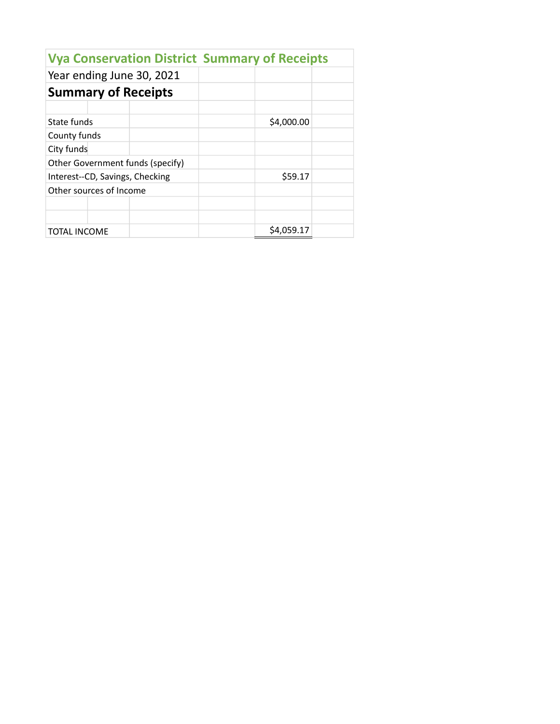| <b>Vya Conservation District Summary of Receipts</b> |            |  |  |  |  |  |  |  |
|------------------------------------------------------|------------|--|--|--|--|--|--|--|
| Year ending June 30, 2021                            |            |  |  |  |  |  |  |  |
| <b>Summary of Receipts</b>                           |            |  |  |  |  |  |  |  |
|                                                      |            |  |  |  |  |  |  |  |
| State funds                                          | \$4,000.00 |  |  |  |  |  |  |  |
| County funds                                         |            |  |  |  |  |  |  |  |
| City funds                                           |            |  |  |  |  |  |  |  |
| Other Government funds (specify)                     |            |  |  |  |  |  |  |  |
| Interest--CD, Savings, Checking                      | \$59.17    |  |  |  |  |  |  |  |
| Other sources of Income                              |            |  |  |  |  |  |  |  |
|                                                      |            |  |  |  |  |  |  |  |
|                                                      |            |  |  |  |  |  |  |  |
| TOTAL INCOME                                         | \$4.059.17 |  |  |  |  |  |  |  |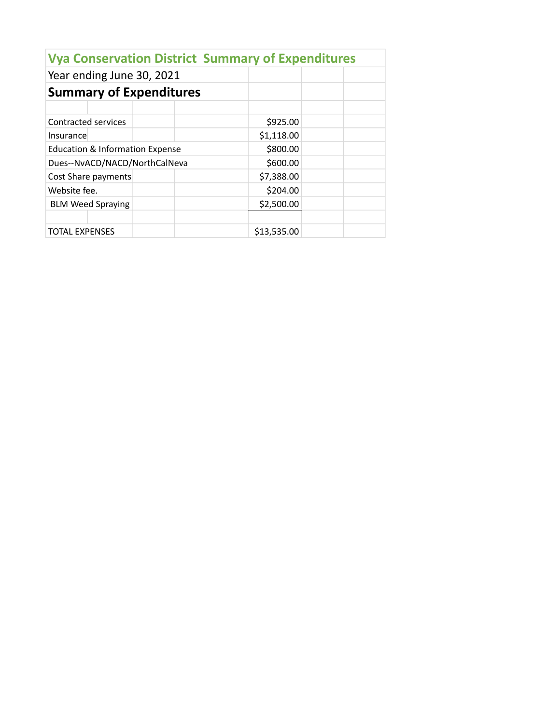| Year ending June 30, 2021                  |             |  |
|--------------------------------------------|-------------|--|
| <b>Summary of Expenditures</b>             |             |  |
|                                            |             |  |
| Contracted services                        | \$925.00    |  |
| <i>Insurance</i>                           | \$1,118.00  |  |
| <b>Education &amp; Information Expense</b> | \$800.00    |  |
| Dues--NvACD/NACD/NorthCalNeva              | \$600.00    |  |
| Cost Share payments                        | \$7,388.00  |  |
| Website fee.                               | \$204.00    |  |
| <b>BLM Weed Spraying</b>                   | \$2,500.00  |  |
| <b>TOTAL EXPENSES</b>                      | \$13,535.00 |  |